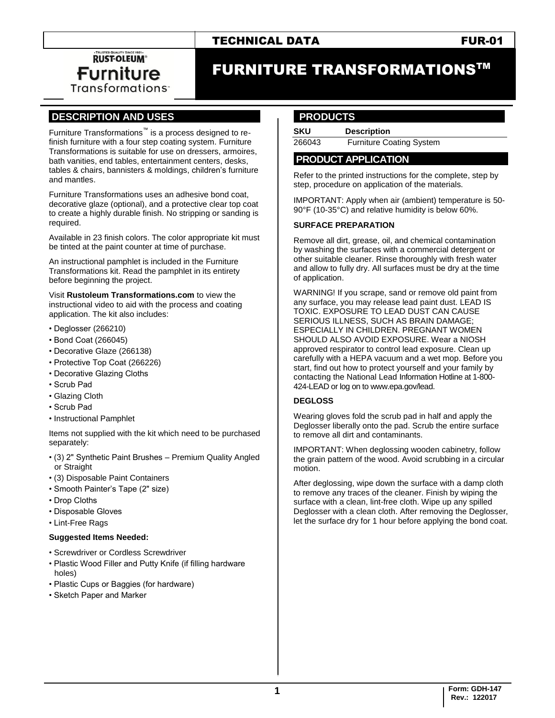# TECHNICAL DATA FUR-01

**RUST-OLEUM® Furniture Transformations** 

# FURNITURE TRANSFORMATIONSTM

# **.DESCRIPTION AND USES .**

Furniture Transformations™ is a process designed to refinish furniture with a four step coating system. Furniture Transformations is suitable for use on dressers, armoires, bath vanities, end tables, entertainment centers, desks, tables & chairs, bannisters & moldings, children's furniture and mantles.

Furniture Transformations uses an adhesive bond coat, decorative glaze (optional), and a protective clear top coat to create a highly durable finish. No stripping or sanding is required.

Available in 23 finish colors. The color appropriate kit must be tinted at the paint counter at time of purchase.

An instructional pamphlet is included in the Furniture Transformations kit. Read the pamphlet in its entirety before beginning the project.

Visit **Rustoleum Transformations.com** to view the instructional video to aid with the process and coating application. The kit also includes:

- Deglosser (266210)
- Bond Coat (266045)
- Decorative Glaze (266138)
- Protective Top Coat (266226)
- Decorative Glazing Cloths
- Scrub Pad
- Glazing Cloth
- Scrub Pad
- Instructional Pamphlet

Items not supplied with the kit which need to be purchased separately:

- (3) 2" Synthetic Paint Brushes Premium Quality Angled or Straight
- (3) Disposable Paint Containers
- Smooth Painter's Tape (2" size)
- Drop Cloths
- Disposable Gloves
- Lint-Free Rags

#### **Suggested Items Needed:**

- Screwdriver or Cordless Screwdriver
- Plastic Wood Filler and Putty Knife (if filling hardware holes)
- Plastic Cups or Baggies (for hardware)
- Sketch Paper and Marker

## **..PRODUCTS .**

**SKU Description** 266043 Furniture Coating System

### **.PRODUCT APPLICATION .**

Refer to the printed instructions for the complete, step by step, procedure on application of the materials.

IMPORTANT: Apply when air (ambient) temperature is 50- 90°F (10-35°C) and relative humidity is below 60%.

#### **SURFACE PREPARATION**

Remove all dirt, grease, oil, and chemical contamination by washing the surfaces with a commercial detergent or other suitable cleaner. Rinse thoroughly with fresh water and allow to fully dry. All surfaces must be dry at the time of application.

WARNING! If you scrape, sand or remove old paint from any surface, you may release lead paint dust. LEAD IS TOXIC. EXPOSURE TO LEAD DUST CAN CAUSE SERIOUS ILLNESS, SUCH AS BRAIN DAMAGE; ESPECIALLY IN CHILDREN. PREGNANT WOMEN SHOULD ALSO AVOID EXPOSURE. Wear a NIOSH approved respirator to control lead exposure. Clean up carefully with a HEPA vacuum and a wet mop. Before you start, find out how to protect yourself and your family by contacting the National Lead Information Hotline at 1-800- 424-LEAD or log on to www.epa.gov/lead.

#### **DEGLOSS**

Wearing gloves fold the scrub pad in half and apply the Deglosser liberally onto the pad. Scrub the entire surface to remove all dirt and contaminants.

IMPORTANT: When deglossing wooden cabinetry, follow the grain pattern of the wood. Avoid scrubbing in a circular motion.

After deglossing, wipe down the surface with a damp cloth to remove any traces of the cleaner. Finish by wiping the surface with a clean, lint-free cloth. Wipe up any spilled Deglosser with a clean cloth. After removing the Deglosser, let the surface dry for 1 hour before applying the bond coat.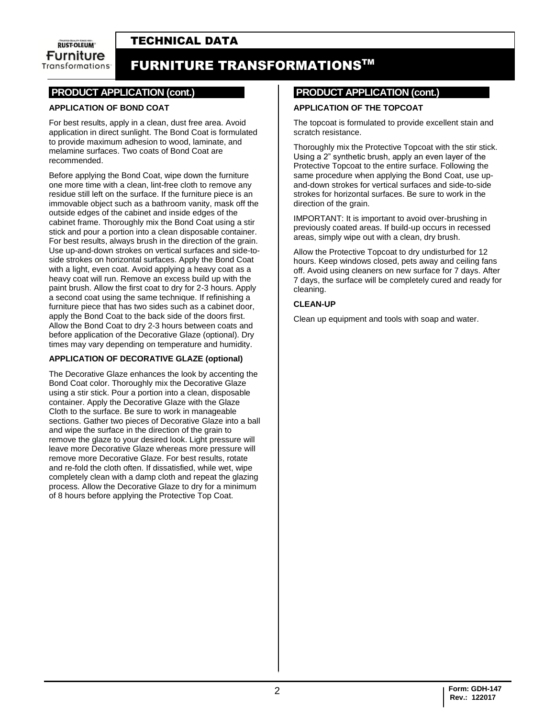# TECHNICAL DATA

**RUST-OLEUM** Furniture **Transformations** 

# FURNITURE TRANSFORMATIONSTM

### **.PRODUCT APPLICATION (cont.)**

### **APPLICATION OF BOND COAT**

For best results, apply in a clean, dust free area. Avoid application in direct sunlight. The Bond Coat is formulated to provide maximum adhesion to wood, laminate, and melamine surfaces. Two coats of Bond Coat are recommended.

Before applying the Bond Coat, wipe down the furniture one more time with a clean, lint-free cloth to remove any residue still left on the surface. If the furniture piece is an immovable object such as a bathroom vanity, mask off the outside edges of the cabinet and inside edges of the cabinet frame. Thoroughly mix the Bond Coat using a stir stick and pour a portion into a clean disposable container. For best results, always brush in the direction of the grain. Use up-and-down strokes on vertical surfaces and side-toside strokes on horizontal surfaces. Apply the Bond Coat with a light, even coat. Avoid applying a heavy coat as a heavy coat will run. Remove an excess build up with the paint brush. Allow the first coat to dry for 2-3 hours. Apply a second coat using the same technique. If refinishing a furniture piece that has two sides such as a cabinet door, apply the Bond Coat to the back side of the doors first. Allow the Bond Coat to dry 2-3 hours between coats and before application of the Decorative Glaze (optional). Dry times may vary depending on temperature and humidity.

### **APPLICATION OF DECORATIVE GLAZE (optional)**

The Decorative Glaze enhances the look by accenting the Bond Coat color. Thoroughly mix the Decorative Glaze using a stir stick. Pour a portion into a clean, disposable container. Apply the Decorative Glaze with the Glaze Cloth to the surface. Be sure to work in manageable sections. Gather two pieces of Decorative Glaze into a ball and wipe the surface in the direction of the grain to remove the glaze to your desired look. Light pressure will leave more Decorative Glaze whereas more pressure will remove more Decorative Glaze. For best results, rotate and re-fold the cloth often. If dissatisfied, while wet, wipe completely clean with a damp cloth and repeat the glazing process. Allow the Decorative Glaze to dry for a minimum of 8 hours before applying the Protective Top Coat.

### **.PRODUCT APPLICATION (cont.)**

### **APPLICATION OF THE TOPCOAT**

The topcoat is formulated to provide excellent stain and scratch resistance.

Thoroughly mix the Protective Topcoat with the stir stick. Using a 2" synthetic brush, apply an even layer of the Protective Topcoat to the entire surface. Following the same procedure when applying the Bond Coat, use upand-down strokes for vertical surfaces and side-to-side strokes for horizontal surfaces. Be sure to work in the direction of the grain.

IMPORTANT: It is important to avoid over-brushing in previously coated areas. If build-up occurs in recessed areas, simply wipe out with a clean, dry brush.

Allow the Protective Topcoat to dry undisturbed for 12 hours. Keep windows closed, pets away and ceiling fans off. Avoid using cleaners on new surface for 7 days. After 7 days, the surface will be completely cured and ready for cleaning.

#### **CLEAN-UP**

Clean up equipment and tools with soap and water.